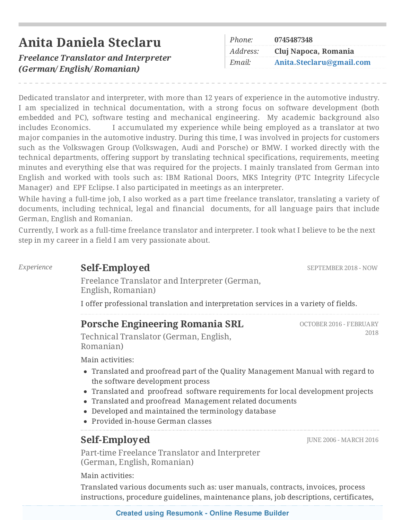|  |  | Anita Daniela Steclaru |
|--|--|------------------------|
|--|--|------------------------|

*Freelance Translator and Interpreter (German/ English/ Romanian)*

| Phone:   | 0745487348               |  |
|----------|--------------------------|--|
| Address: | Cluj Napoca, Romania     |  |
| Email:   | Anita.Steclaru@gmail.com |  |

Dedicated translator and interpreter, with more than 12 years of experience in the automotive industry. I am specialized in technical documentation, with a strong focus on software development (both embedded and PC), software testing and mechanical engineering. My academic background also includes Economics. I accumulated my experience while being employed as a translator at two major companies in the automotive industry. During this time, I was involved in projects for customers such as the Volkswagen Group (Volkswagen, Audi and Porsche) or BMW. I worked directly with the technical departments, offering support by translating technical specifications, requirements, meeting minutes and everything else that was required for the projects. I mainly translated from German into English and worked with tools such as: IBM Rational Doors, MKS Integrity (PTC Integrity Lifecycle Manager) and EPF Eclipse. I also participated in meetings as an interpreter.

While having a full-time job, I also worked as a part time freelance translator, translating a variety of documents, including technical, legal and financial documents, for all language pairs that include German, English and Romanian.

Currently, I work as a full-time freelance translator and interpreter. I took what I believe to be the next step in my career in a field I am very passionate about.

#### *Experience* **Self-Employed**

Freelance Translator and Interpreter (German, English, Romanian)

I offer professional translation and interpretation services in a variety of fields.

#### **Porsche Engineering Romania SRL**

Technical Translator (German, English, Romanian)

Main activities:

- Translated and proofread part of the Quality Management Manual with regard to the software development process
- Translated and proofread software requirements for local development projects
- Translated and proofread Management related documents
- Developed and maintained the terminology database
- Provided in-house German classes

# **Self-Employed**

Part-time Freelance Translator and Interpreter (German, English, Romanian)

Main activities:

Translated various documents such as: user manuals, contracts, invoices, process instructions, procedure guidelines, maintenance plans, job descriptions, certificates,

#### **Created using [Resumonk](https://www.resumonk.com) - Online Resume Builder**

JUNE 2006 - MARCH 2016

OCTOBER 2016 - FEBRUARY 2018

SEPTEMBER 2018 - NOW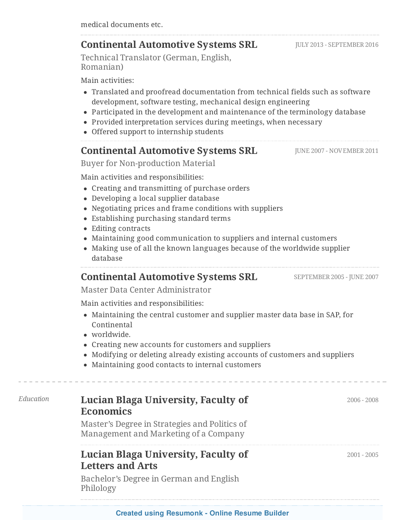#### **Continental Automotive Systems SRL**

Technical Translator (German, English, Romanian)

Main activities:

- Translated and proofread documentation from technical fields such as software development, software testing, mechanical design engineering
- Participated in the development and maintenance of the terminology database
- Provided interpretation services during meetings, when necessary
- Offered support to internship students

### **Continental Automotive Systems SRL**

Buyer for Non-production Material

Main activities and responsibilities:

- Creating and transmitting of purchase orders
- Developing a local supplier database
- Negotiating prices and frame conditions with suppliers
- Establishing purchasing standard terms
- Editing contracts
- Maintaining good communication to suppliers and internal customers
- Making use of all the known languages because of the worldwide supplier database

# **Continental Automotive Systems SRL**

Master Data Center Administrator

Main activities and responsibilities:

- Maintaining the central customer and supplier master data base in SAP, for Continental
- worldwide.
- Creating new accounts for customers and suppliers
- Modifying or deleting already existing accounts of customers and suppliers
- Maintaining good contacts to internal customers

# *Education* **Lucian Blaga University, Faculty of Economics**

Master's Degree in Strategies and Politics of Management and Marketing of a Company

### **Lucian Blaga University, Faculty of Letters and Arts**

Bachelor's Degree in German and English Philology

**Created using [Resumonk](https://www.resumonk.com) - Online Resume Builder**

JULY 2013 - SEPTEMBER 2016

JUNE 2007 - NOVEMBER 2011

2001 - 2005

SEPTEMBER 2005 - JUNE 2007

2006 - 2008